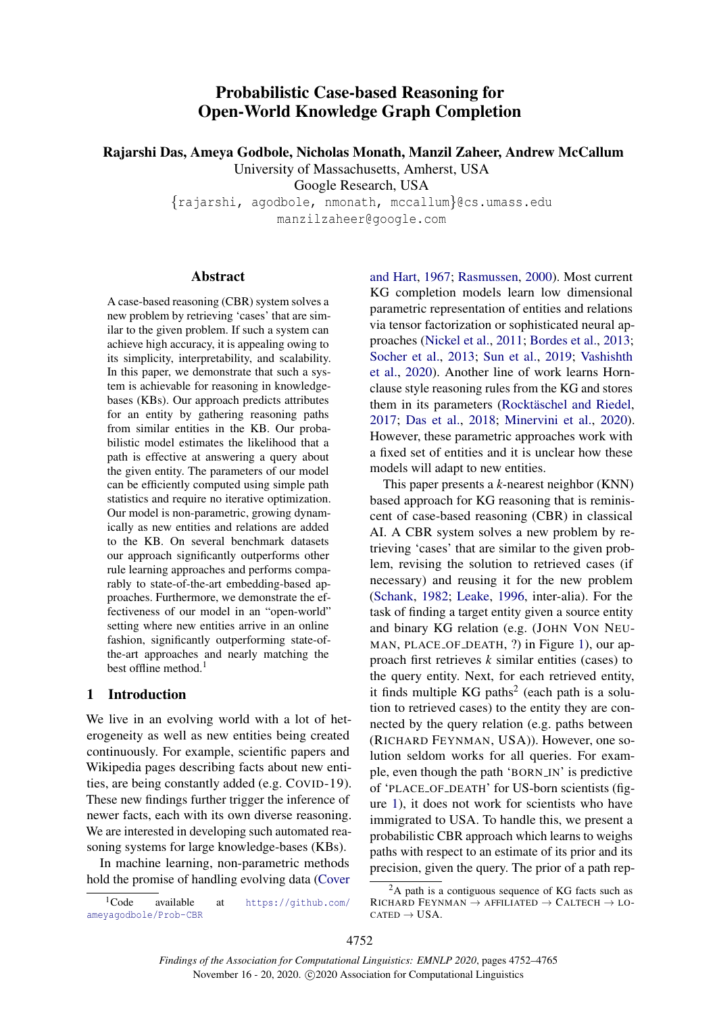# Probabilistic Case-based Reasoning for Open-World Knowledge Graph Completion

Rajarshi Das, Ameya Godbole, Nicholas Monath, Manzil Zaheer, Andrew McCallum

University of Massachusetts, Amherst, USA

Google Research, USA

{rajarshi, agodbole, nmonath, mccallum}@cs.umass.edu manzilzaheer@google.com

#### Abstract

A case-based reasoning (CBR) system solves a new problem by retrieving 'cases' that are similar to the given problem. If such a system can achieve high accuracy, it is appealing owing to its simplicity, interpretability, and scalability. In this paper, we demonstrate that such a system is achievable for reasoning in knowledgebases (KBs). Our approach predicts attributes for an entity by gathering reasoning paths from similar entities in the KB. Our probabilistic model estimates the likelihood that a path is effective at answering a query about the given entity. The parameters of our model can be efficiently computed using simple path statistics and require no iterative optimization. Our model is non-parametric, growing dynamically as new entities and relations are added to the KB. On several benchmark datasets our approach significantly outperforms other rule learning approaches and performs comparably to state-of-the-art embedding-based approaches. Furthermore, we demonstrate the effectiveness of our model in an "open-world" setting where new entities arrive in an online fashion, significantly outperforming state-ofthe-art approaches and nearly matching the best offline method.<sup>1</sup>

## 1 Introduction

We live in an evolving world with a lot of heterogeneity as well as new entities being created continuously. For example, scientific papers and Wikipedia pages describing facts about new entities, are being constantly added (e.g. COVID-19). These new findings further trigger the inference of newer facts, each with its own diverse reasoning. We are interested in developing such automated reasoning systems for large knowledge-bases (KBs).

In machine learning, non-parametric methods hold the promise of handling evolving data [\(Cover](#page-9-0)

[and Hart,](#page-9-0) [1967;](#page-9-0) [Rasmussen,](#page-10-0) [2000\)](#page-10-0). Most current KG completion models learn low dimensional parametric representation of entities and relations via tensor factorization or sophisticated neural approaches [\(Nickel et al.,](#page-9-1) [2011;](#page-9-1) [Bordes et al.,](#page-9-2) [2013;](#page-9-2) [Socher et al.,](#page-10-1) [2013;](#page-10-1) [Sun et al.,](#page-10-2) [2019;](#page-10-2) [Vashishth](#page-10-3) [et al.,](#page-10-3) [2020\)](#page-10-3). Another line of work learns Hornclause style reasoning rules from the KG and stores them in its parameters (Rocktäschel and Riedel, [2017;](#page-10-4) [Das et al.,](#page-9-3) [2018;](#page-9-3) [Minervini et al.,](#page-9-4) [2020\)](#page-9-4). However, these parametric approaches work with a fixed set of entities and it is unclear how these models will adapt to new entities.

This paper presents a *k*-nearest neighbor (KNN) based approach for KG reasoning that is reminiscent of case-based reasoning (CBR) in classical AI. A CBR system solves a new problem by retrieving 'cases' that are similar to the given problem, revising the solution to retrieved cases (if necessary) and reusing it for the new problem [\(Schank,](#page-10-5) [1982;](#page-10-5) [Leake,](#page-9-5) [1996,](#page-9-5) inter-alia). For the task of finding a target entity given a source entity and binary KG relation (e.g. (JOHN VON NEU-MAN, PLACE OF DEATH, ?) in Figure [1\)](#page-1-0), our approach first retrieves *k* similar entities (cases) to the query entity. Next, for each retrieved entity, it finds multiple KG paths<sup>2</sup> (each path is a solution to retrieved cases) to the entity they are connected by the query relation (e.g. paths between (RICHARD FEYNMAN, USA)). However, one solution seldom works for all queries. For example, even though the path 'BORN IN' is predictive of 'PLACE OF DEATH' for US-born scientists (figure [1\)](#page-1-0), it does not work for scientists who have immigrated to USA. To handle this, we present a probabilistic CBR approach which learns to weighs paths with respect to an estimate of its prior and its precision, given the query. The prior of a path rep-

<sup>1</sup>[Code available at](#page-9-0) [https://github.com/](https://github.com/ameyagodbole/Prob-CBR) [ameyagodbole/Prob-CBR](#page-9-0)

 $2A$  path is a contiguous sequence of KG facts such as RICHARD FEYNMAN  $\rightarrow$  AFFILIATED  $\rightarrow$  CALTECH  $\rightarrow$  LO- $CATED \rightarrow USA.$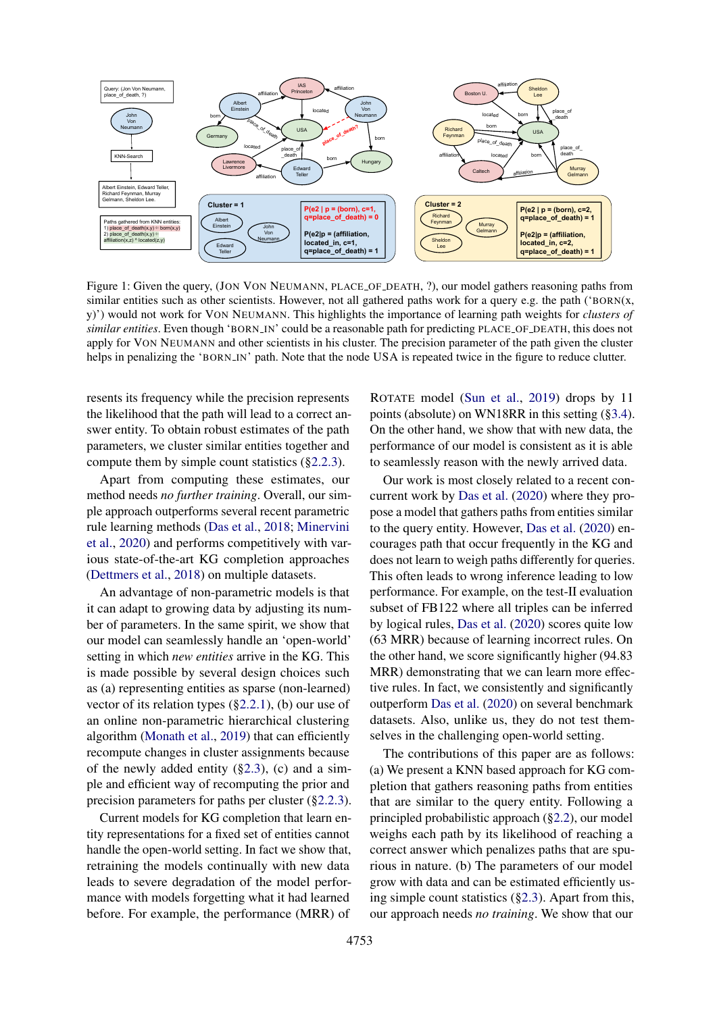<span id="page-1-0"></span>

Figure 1: Given the query, (JON VON NEUMANN, PLACE OF DEATH, ?), our model gathers reasoning paths from similar entities such as other scientists. However, not all gathered paths work for a query e.g. the path ('BORN(x, y)') would not work for VON NEUMANN. This highlights the importance of learning path weights for *clusters of similar entities*. Even though 'BORN IN' could be a reasonable path for predicting PLACE OF DEATH, this does not apply for VON NEUMANN and other scientists in his cluster. The precision parameter of the path given the cluster helps in penalizing the 'BORN IN' path. Note that the node USA is repeated twice in the figure to reduce clutter.

resents its frequency while the precision represents the likelihood that the path will lead to a correct answer entity. To obtain robust estimates of the path parameters, we cluster similar entities together and compute them by simple count statistics ([§2.2.3\)](#page-3-0).

Apart from computing these estimates, our method needs *no further training*. Overall, our simple approach outperforms several recent parametric rule learning methods [\(Das et al.,](#page-9-3) [2018;](#page-9-3) [Minervini](#page-9-4) [et al.,](#page-9-4) [2020\)](#page-9-4) and performs competitively with various state-of-the-art KG completion approaches [\(Dettmers et al.,](#page-9-6) [2018\)](#page-9-6) on multiple datasets.

An advantage of non-parametric models is that it can adapt to growing data by adjusting its number of parameters. In the same spirit, we show that our model can seamlessly handle an 'open-world' setting in which *new entities* arrive in the KG. This is made possible by several design choices such as (a) representing entities as sparse (non-learned) vector of its relation types ([§2.2.1\)](#page-2-0), (b) our use of an online non-parametric hierarchical clustering algorithm [\(Monath et al.,](#page-9-7) [2019\)](#page-9-7) that can efficiently recompute changes in cluster assignments because of the newly added entity  $(\S2.3)$ , (c) and a simple and efficient way of recomputing the prior and precision parameters for paths per cluster ([§2.2.3\)](#page-3-0).

Current models for KG completion that learn entity representations for a fixed set of entities cannot handle the open-world setting. In fact we show that, retraining the models continually with new data leads to severe degradation of the model performance with models forgetting what it had learned before. For example, the performance (MRR) of

ROTATE model [\(Sun et al.,](#page-10-2) [2019\)](#page-10-2) drops by 11 points (absolute) on WN18RR in this setting ([§3.4\)](#page-7-0). On the other hand, we show that with new data, the performance of our model is consistent as it is able to seamlessly reason with the newly arrived data.

Our work is most closely related to a recent concurrent work by [Das et al.](#page-9-8) [\(2020\)](#page-9-8) where they propose a model that gathers paths from entities similar to the query entity. However, [Das et al.](#page-9-8) [\(2020\)](#page-9-8) encourages path that occur frequently in the KG and does not learn to weigh paths differently for queries. This often leads to wrong inference leading to low performance. For example, on the test-II evaluation subset of FB122 where all triples can be inferred by logical rules, [Das et al.](#page-9-8) [\(2020\)](#page-9-8) scores quite low (63 MRR) because of learning incorrect rules. On the other hand, we score significantly higher (94.83 MRR) demonstrating that we can learn more effective rules. In fact, we consistently and significantly outperform [Das et al.](#page-9-8) [\(2020\)](#page-9-8) on several benchmark datasets. Also, unlike us, they do not test themselves in the challenging open-world setting.

The contributions of this paper are as follows: (a) We present a KNN based approach for KG completion that gathers reasoning paths from entities that are similar to the query entity. Following a principled probabilistic approach ([§2.2\)](#page-2-1), our model weighs each path by its likelihood of reaching a correct answer which penalizes paths that are spurious in nature. (b) The parameters of our model grow with data and can be estimated efficiently using simple count statistics ([§2.3\)](#page-4-0). Apart from this, our approach needs *no training*. We show that our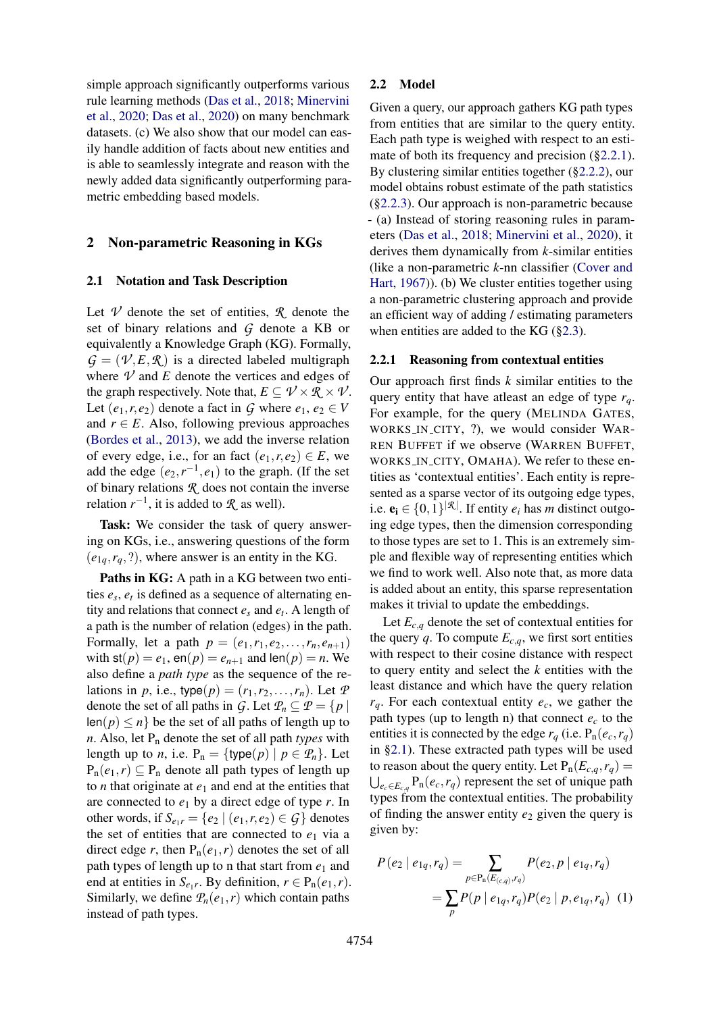simple approach significantly outperforms various rule learning methods [\(Das et al.,](#page-9-3) [2018;](#page-9-3) [Minervini](#page-9-4) [et al.,](#page-9-4) [2020;](#page-9-4) [Das et al.,](#page-9-8) [2020\)](#page-9-8) on many benchmark datasets. (c) We also show that our model can easily handle addition of facts about new entities and is able to seamlessly integrate and reason with the newly added data significantly outperforming parametric embedding based models.

#### 2 Non-parametric Reasoning in KGs

#### <span id="page-2-2"></span>2.1 Notation and Task Description

Let  $\mathcal V$  denote the set of entities,  $\mathcal R$  denote the set of binary relations and *G* denote a KB or equivalently a Knowledge Graph (KG). Formally,  $G = (\mathcal{V}, E, \mathcal{R})$  is a directed labeled multigraph where  $V$  and  $E$  denote the vertices and edges of the graph respectively. Note that,  $E \subseteq \mathcal{V} \times \mathcal{R} \times \mathcal{V}$ . Let  $(e_1, r, e_2)$  denote a fact in *G* where  $e_1, e_2 \in V$ and  $r \in E$ . Also, following previous approaches [\(Bordes et al.,](#page-9-2) [2013\)](#page-9-2), we add the inverse relation of every edge, i.e., for an fact  $(e_1, r, e_2) \in E$ , we add the edge  $(e_2, r^{-1}, e_1)$  to the graph. (If the set of binary relations *R* does not contain the inverse relation  $r^{-1}$ , it is added to  $\mathcal{R}$  as well).

Task: We consider the task of query answering on KGs, i.e., answering questions of the form  $(e_{1q}, r_q, ?)$ , where answer is an entity in the KG.

Paths in KG: A path in a KG between two entities  $e_s$ ,  $e_t$  is defined as a sequence of alternating entity and relations that connect  $e_s$  and  $e_t$ . A length of a path is the number of relation (edges) in the path. Formally, let a path  $p = (e_1, r_1, e_2, \ldots, r_n, e_{n+1})$ with  $st(p) = e_1$ ,  $en(p) = e_{n+1}$  and  $len(p) = n$ . We also define a *path type* as the sequence of the relations in *p*, i.e., type( $p$ ) = ( $r_1, r_2, \ldots, r_n$ ). Let  $P$ denote the set of all paths in *G*. Let  $P_n \subseteq P = \{p \mid$  $\text{len}(p) \leq n$  be the set of all paths of length up to *n*. Also, let P<sup>n</sup> denote the set of all path *types* with length up to *n*, i.e.  $P_n = \{ \text{type}(p) \mid p \in \mathcal{P}_n \}.$  Let  $P_n(e_1,r) \subseteq P_n$  denote all path types of length up to *n* that originate at  $e_1$  and end at the entities that are connected to  $e_1$  by a direct edge of type  $r$ . In other words, if  $S_{e_1r} = \{e_2 \mid (e_1, r, e_2) \in G\}$  denotes the set of entities that are connected to  $e_1$  via a direct edge *r*, then  $P_n(e_1, r)$  denotes the set of all path types of length up to n that start from  $e_1$  and end at entities in  $S_{e_1r}$ . By definition,  $r \in P_n(e_1, r)$ . Similarly, we define  $P_n(e_1, r)$  which contain paths instead of path types.

#### <span id="page-2-1"></span>2.2 Model

Given a query, our approach gathers KG path types from entities that are similar to the query entity. Each path type is weighed with respect to an esti-mate of both its frequency and precision ([§2.2.1\)](#page-2-0). By clustering similar entities together ([§2.2.2\)](#page-3-1), our model obtains robust estimate of the path statistics ([§2.2.3\)](#page-3-0). Our approach is non-parametric because - (a) Instead of storing reasoning rules in parameters [\(Das et al.,](#page-9-3) [2018;](#page-9-3) [Minervini et al.,](#page-9-4) [2020\)](#page-9-4), it derives them dynamically from *k*-similar entities (like a non-parametric *k*-nn classifier [\(Cover and](#page-9-0) [Hart,](#page-9-0) [1967\)](#page-9-0)). (b) We cluster entities together using a non-parametric clustering approach and provide an efficient way of adding / estimating parameters when entities are added to the KG ([§2.3\)](#page-4-0).

#### <span id="page-2-0"></span>2.2.1 Reasoning from contextual entities

Our approach first finds *k* similar entities to the query entity that have atleast an edge of type *rq*. For example, for the query (MELINDA GATES, WORKS IN CITY, ?), we would consider WAR-REN BUFFET if we observe (WARREN BUFFET, WORKS IN CITY, OMAHA). We refer to these entities as 'contextual entities'. Each entity is represented as a sparse vector of its outgoing edge types, i.e.  $\mathbf{e}_i \in \{0,1\}^{|\mathcal{R}|}$ . If entity  $e_i$  has *m* distinct outgoing edge types, then the dimension corresponding to those types are set to 1. This is an extremely simple and flexible way of representing entities which we find to work well. Also note that, as more data is added about an entity, this sparse representation makes it trivial to update the embeddings.

Let  $E_{c,q}$  denote the set of contextual entities for the query *q*. To compute  $E_{c,q}$ , we first sort entities with respect to their cosine distance with respect to query entity and select the *k* entities with the least distance and which have the query relation  $r_q$ . For each contextual entity  $e_c$ , we gather the path types (up to length n) that connect  $e_c$  to the entities it is connected by the edge  $r_q$  (i.e.  $P_n(e_c, r_q)$ ) in [§2.1\)](#page-2-2). These extracted path types will be used to reason about the query entity. Let  $P_n(E_{c,q}, r_q)$  =  $\bigcup_{e_c \in E_{c,q}} P_n(e_c, r_q)$  represent the set of unique path types from the contextual entities. The probability of finding the answer entity  $e_2$  given the query is given by:

<span id="page-2-3"></span>
$$
P(e_2 | e_{1q}, r_q) = \sum_{p \in P_n(E_{(c,q)}, r_q)} P(e_2, p | e_{1q}, r_q)
$$
  
= 
$$
\sum_p P(p | e_{1q}, r_q) P(e_2 | p, e_{1q}, r_q)
$$
 (1)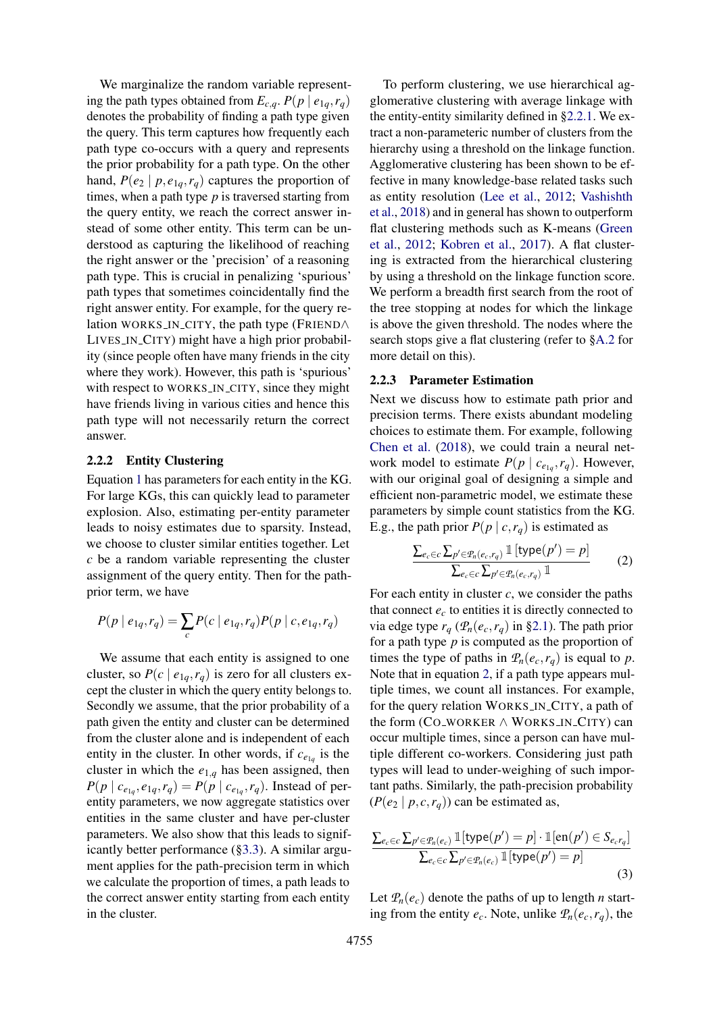We marginalize the random variable representing the path types obtained from  $E_{c,q}$ .  $P(p \mid e_{1q}, r_q)$ denotes the probability of finding a path type given the query. This term captures how frequently each path type co-occurs with a query and represents the prior probability for a path type. On the other hand,  $P(e_2 | p, e_{1q}, r_q)$  captures the proportion of times, when a path type *p* is traversed starting from the query entity, we reach the correct answer instead of some other entity. This term can be understood as capturing the likelihood of reaching the right answer or the 'precision' of a reasoning path type. This is crucial in penalizing 'spurious' path types that sometimes coincidentally find the right answer entity. For example, for the query relation WORKS IN CITY, the path type (FRIEND∧ LIVES IN CITY) might have a high prior probability (since people often have many friends in the city where they work). However, this path is 'spurious' with respect to WORKS\_IN\_CITY, since they might have friends living in various cities and hence this path type will not necessarily return the correct answer.

#### <span id="page-3-1"></span>2.2.2 Entity Clustering

Equation [1](#page-2-3) has parameters for each entity in the KG. For large KGs, this can quickly lead to parameter explosion. Also, estimating per-entity parameter leads to noisy estimates due to sparsity. Instead, we choose to cluster similar entities together. Let *c* be a random variable representing the cluster assignment of the query entity. Then for the pathprior term, we have

$$
P(p | e_{1q}, r_q) = \sum_c P(c | e_{1q}, r_q) P(p | c, e_{1q}, r_q)
$$

We assume that each entity is assigned to one cluster, so  $P(c \mid e_{1q}, r_q)$  is zero for all clusters except the cluster in which the query entity belongs to. Secondly we assume, that the prior probability of a path given the entity and cluster can be determined from the cluster alone and is independent of each entity in the cluster. In other words, if  $c_{e_{1q}}$  is the cluster in which the  $e_{1,q}$  has been assigned, then  $P(p \mid c_{e_{1q}}, e_{1q}, r_q) = P(p \mid c_{e_{1q}}, r_q)$ . Instead of perentity parameters, we now aggregate statistics over entities in the same cluster and have per-cluster parameters. We also show that this leads to significantly better performance ([§3.3\)](#page-6-0). A similar argument applies for the path-precision term in which we calculate the proportion of times, a path leads to the correct answer entity starting from each entity in the cluster.

To perform clustering, we use hierarchical agglomerative clustering with average linkage with the entity-entity similarity defined in [§2.2.1.](#page-2-0) We extract a non-parameteric number of clusters from the hierarchy using a threshold on the linkage function. Agglomerative clustering has been shown to be effective in many knowledge-base related tasks such as entity resolution [\(Lee et al.,](#page-9-9) [2012;](#page-9-9) [Vashishth](#page-10-6) [et al.,](#page-10-6) [2018\)](#page-10-6) and in general has shown to outperform flat clustering methods such as K-means [\(Green](#page-9-10) [et al.,](#page-9-10) [2012;](#page-9-10) [Kobren et al.,](#page-9-11) [2017\)](#page-9-11). A flat clustering is extracted from the hierarchical clustering by using a threshold on the linkage function score. We perform a breadth first search from the root of the tree stopping at nodes for which the linkage is above the given threshold. The nodes where the search stops give a flat clustering (refer to [§A.2](#page-11-0) for more detail on this).

#### <span id="page-3-0"></span>2.2.3 Parameter Estimation

Next we discuss how to estimate path prior and precision terms. There exists abundant modeling choices to estimate them. For example, following [Chen et al.](#page-9-12) [\(2018\)](#page-9-12), we could train a neural network model to estimate  $P(p \mid c_{e_{1q}}, r_q)$ . However, with our original goal of designing a simple and efficient non-parametric model, we estimate these parameters by simple count statistics from the KG. E.g., the path prior  $P(p \mid c, r_q)$  is estimated as

<span id="page-3-2"></span>
$$
\frac{\sum_{e_c \in c} \sum_{p' \in \mathcal{P}_n(e_c, r_q)} \mathbb{1}\left[\text{type}(p') = p\right]}{\sum_{e_c \in c} \sum_{p' \in \mathcal{P}_n(e_c, r_q)} \mathbb{1}}\tag{2}
$$

For each entity in cluster *c*, we consider the paths that connect  $e_c$  to entities it is directly connected to via edge type  $r_q$  ( $\mathcal{P}_n(e_c, r_q)$  in [§2.1\)](#page-2-2). The path prior for a path type *p* is computed as the proportion of times the type of paths in  $P_n(e_c, r_q)$  is equal to *p*. Note that in equation [2,](#page-3-2) if a path type appears multiple times, we count all instances. For example, for the query relation WORKS IN CITY, a path of the form  $(CO_WORKER \wedge WORKS_IN_CITY)$  can occur multiple times, since a person can have multiple different co-workers. Considering just path types will lead to under-weighing of such important paths. Similarly, the path-precision probability  $(P(e_2 | p, c, r_q))$  can be estimated as,

<span id="page-3-3"></span>
$$
\frac{\sum_{e_c \in C} \sum_{p' \in \mathcal{P}_n(e_c)} \mathbb{1}[\text{type}(p') = p] \cdot \mathbb{1}[\text{en}(p') \in S_{e_c r_q}]}{\sum_{e_c \in C} \sum_{p' \in \mathcal{P}_n(e_c)} \mathbb{1}[\text{type}(p') = p]}
$$
(3)

Let  $P_n(e_c)$  denote the paths of up to length *n* starting from the entity  $e_c$ . Note, unlike  $\mathcal{P}_n(e_c, r_q)$ , the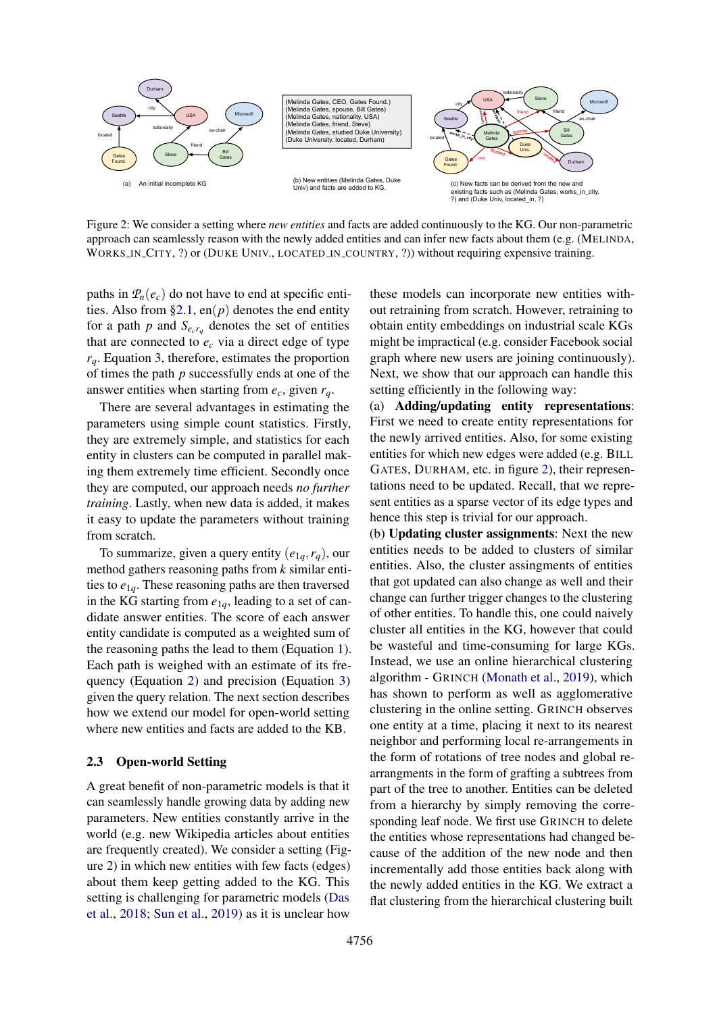<span id="page-4-1"></span>

Figure 2: We consider a setting where *new entities* and facts are added continuously to the KG. Our non-parametric approach can seamlessly reason with the newly added entities and can infer new facts about them (e.g. (MELINDA, WORKS IN CITY, ?) or (DUKE UNIV., LOCATED IN COUNTRY, ?)) without requiring expensive training.

paths in  $P_n(e_c)$  do not have to end at specific enti-ties. Also from [§2.1,](#page-2-2) en( $p$ ) denotes the end entity for a path  $p$  and  $S_{e_c r_q}$  denotes the set of entities that are connected to  $e_c$  via a direct edge of type *rq*. Equation [3,](#page-3-3) therefore, estimates the proportion of times the path *p* successfully ends at one of the answer entities when starting from  $e_c$ , given  $r_a$ .

There are several advantages in estimating the parameters using simple count statistics. Firstly, they are extremely simple, and statistics for each entity in clusters can be computed in parallel making them extremely time efficient. Secondly once they are computed, our approach needs *no further training*. Lastly, when new data is added, it makes it easy to update the parameters without training from scratch.

To summarize, given a query entity  $(e_{1q}, r_q)$ , our method gathers reasoning paths from *k* similar entities to  $e_{1q}$ . These reasoning paths are then traversed in the KG starting from  $e_{1q}$ , leading to a set of candidate answer entities. The score of each answer entity candidate is computed as a weighted sum of the reasoning paths the lead to them (Equation [1\)](#page-2-3). Each path is weighed with an estimate of its frequency (Equation [2\)](#page-3-2) and precision (Equation [3\)](#page-3-3) given the query relation. The next section describes how we extend our model for open-world setting where new entities and facts are added to the KB.

#### <span id="page-4-0"></span>2.3 Open-world Setting

A great benefit of non-parametric models is that it can seamlessly handle growing data by adding new parameters. New entities constantly arrive in the world (e.g. new Wikipedia articles about entities are frequently created). We consider a setting (Figure [2\)](#page-4-1) in which new entities with few facts (edges) about them keep getting added to the KG. This setting is challenging for parametric models [\(Das](#page-9-3) [et al.,](#page-9-3) [2018;](#page-9-3) [Sun et al.,](#page-10-2) [2019\)](#page-10-2) as it is unclear how

these models can incorporate new entities without retraining from scratch. However, retraining to obtain entity embeddings on industrial scale KGs might be impractical (e.g. consider Facebook social graph where new users are joining continuously). Next, we show that our approach can handle this setting efficiently in the following way:

(a) Adding/updating entity representations: First we need to create entity representations for the newly arrived entities. Also, for some existing entities for which new edges were added (e.g. BILL GATES, DURHAM, etc. in figure [2\)](#page-4-1), their representations need to be updated. Recall, that we represent entities as a sparse vector of its edge types and hence this step is trivial for our approach.

(b) Updating cluster assignments: Next the new entities needs to be added to clusters of similar entities. Also, the cluster assingments of entities that got updated can also change as well and their change can further trigger changes to the clustering of other entities. To handle this, one could naively cluster all entities in the KG, however that could be wasteful and time-consuming for large KGs. Instead, we use an online hierarchical clustering algorithm - GRINCH [\(Monath et al.,](#page-9-7) [2019\)](#page-9-7), which has shown to perform as well as agglomerative clustering in the online setting. GRINCH observes one entity at a time, placing it next to its nearest neighbor and performing local re-arrangements in the form of rotations of tree nodes and global rearrangments in the form of grafting a subtrees from part of the tree to another. Entities can be deleted from a hierarchy by simply removing the corresponding leaf node. We first use GRINCH to delete the entities whose representations had changed because of the addition of the new node and then incrementally add those entities back along with the newly added entities in the KG. We extract a flat clustering from the hierarchical clustering built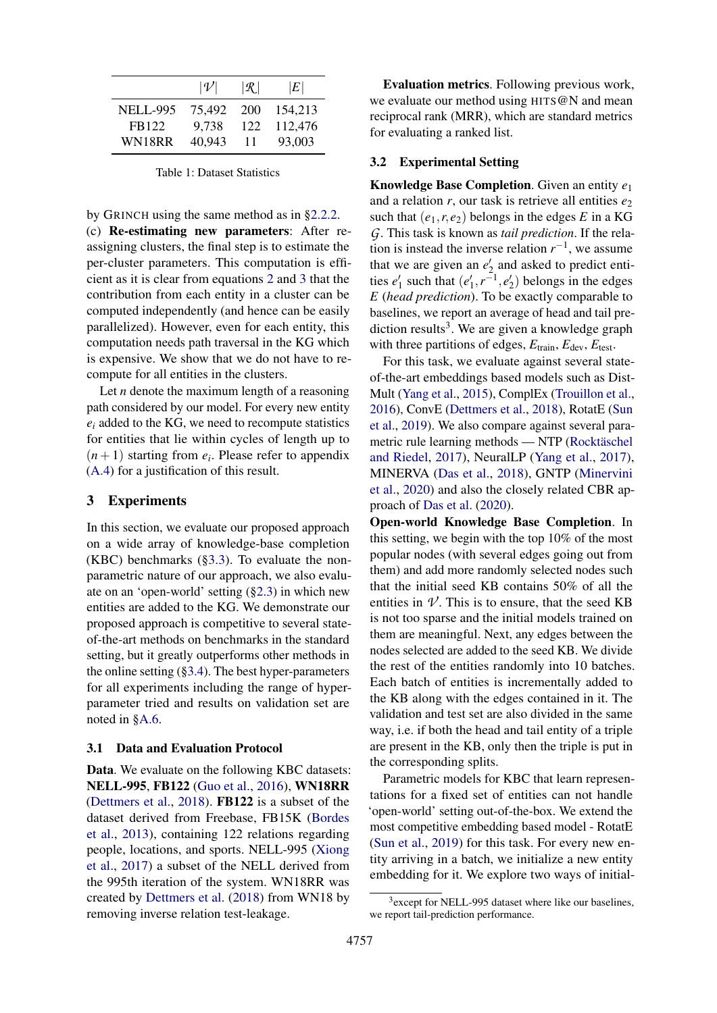|                 | $ \nu $ | $\lvert \mathcal{R} \rvert$ | E       |
|-----------------|---------|-----------------------------|---------|
| <b>NELL-995</b> | 75.492  | <b>200</b>                  | 154.213 |
| FB122           | 9.738   | 122                         | 112,476 |
| WN18RR          | 40.943  | 11                          | 93,003  |

Table 1: Dataset Statistics

by GRINCH using the same method as in [§2.2.2.](#page-3-1)

(c) Re-estimating new parameters: After reassigning clusters, the final step is to estimate the per-cluster parameters. This computation is efficient as it is clear from equations [2](#page-3-2) and [3](#page-3-3) that the contribution from each entity in a cluster can be computed independently (and hence can be easily parallelized). However, even for each entity, this computation needs path traversal in the KG which is expensive. We show that we do not have to recompute for all entities in the clusters.

Let *n* denote the maximum length of a reasoning path considered by our model. For every new entity  $e_i$  added to the KG, we need to recompute statistics for entities that lie within cycles of length up to  $(n+1)$  starting from  $e_i$ . Please refer to appendix [\(A.4\)](#page-11-1) for a justification of this result.

### 3 Experiments

In this section, we evaluate our proposed approach on a wide array of knowledge-base completion (KBC) benchmarks ([§3.3\)](#page-6-0). To evaluate the nonparametric nature of our approach, we also evaluate on an 'open-world' setting ([§2.3\)](#page-4-0) in which new entities are added to the KG. We demonstrate our proposed approach is competitive to several stateof-the-art methods on benchmarks in the standard setting, but it greatly outperforms other methods in the online setting  $(\S3.4)$ . The best hyper-parameters for all experiments including the range of hyperparameter tried and results on validation set are noted in [§A.6.](#page-12-0)

#### 3.1 Data and Evaluation Protocol

Data. We evaluate on the following KBC datasets: NELL-995, FB122 [\(Guo et al.,](#page-9-13) [2016\)](#page-9-13), WN18RR [\(Dettmers et al.,](#page-9-6) [2018\)](#page-9-6). FB122 is a subset of the dataset derived from Freebase, FB15K [\(Bordes](#page-9-2) [et al.,](#page-9-2) [2013\)](#page-9-2), containing 122 relations regarding people, locations, and sports. NELL-995 [\(Xiong](#page-10-7) [et al.,](#page-10-7) [2017\)](#page-10-7) a subset of the NELL derived from the 995th iteration of the system. WN18RR was created by [Dettmers et al.](#page-9-6) [\(2018\)](#page-9-6) from WN18 by removing inverse relation test-leakage.

Evaluation metrics. Following previous work, we evaluate our method using HITS@N and mean reciprocal rank (MRR), which are standard metrics for evaluating a ranked list.

#### 3.2 Experimental Setting

Knowledge Base Completion. Given an entity *e*<sup>1</sup> and a relation  $r$ , our task is retrieve all entities  $e_2$ such that  $(e_1, r, e_2)$  belongs in the edges *E* in a KG *G*. This task is known as *tail prediction*. If the relation is instead the inverse relation  $r^{-1}$ , we assume that we are given an  $e'_2$  and asked to predict entities  $e'_1$  such that  $(e'_1, r^{-1}, e'_2)$  belongs in the edges *E* (*head prediction*). To be exactly comparable to baselines, we report an average of head and tail prediction results<sup>3</sup>. We are given a knowledge graph with three partitions of edges,  $E_{\text{train}}$ ,  $E_{\text{dev}}$ ,  $E_{\text{test}}$ .

For this task, we evaluate against several stateof-the-art embeddings based models such as Dist-Mult [\(Yang et al.,](#page-10-8) [2015\)](#page-10-8), ComplEx [\(Trouillon et al.,](#page-10-9) [2016\)](#page-10-9), ConvE [\(Dettmers et al.,](#page-9-6) [2018\)](#page-9-6), RotatE [\(Sun](#page-10-2) [et al.,](#page-10-2) [2019\)](#page-10-2). We also compare against several parametric rule learning methods — NTP (Rocktäschel [and Riedel,](#page-10-4) [2017\)](#page-10-4), NeuralLP [\(Yang et al.,](#page-10-10) [2017\)](#page-10-10), MINERVA [\(Das et al.,](#page-9-3) [2018\)](#page-9-3), GNTP [\(Minervini](#page-9-4) [et al.,](#page-9-4) [2020\)](#page-9-4) and also the closely related CBR approach of [Das et al.](#page-9-8) [\(2020\)](#page-9-8).

Open-world Knowledge Base Completion. In this setting, we begin with the top 10% of the most popular nodes (with several edges going out from them) and add more randomly selected nodes such that the initial seed KB contains 50% of all the entities in  $\mathcal V$ . This is to ensure, that the seed KB is not too sparse and the initial models trained on them are meaningful. Next, any edges between the nodes selected are added to the seed KB. We divide the rest of the entities randomly into 10 batches. Each batch of entities is incrementally added to the KB along with the edges contained in it. The validation and test set are also divided in the same way, i.e. if both the head and tail entity of a triple are present in the KB, only then the triple is put in the corresponding splits.

Parametric models for KBC that learn representations for a fixed set of entities can not handle 'open-world' setting out-of-the-box. We extend the most competitive embedding based model - RotatE [\(Sun et al.,](#page-10-2) [2019\)](#page-10-2) for this task. For every new entity arriving in a batch, we initialize a new entity embedding for it. We explore two ways of initial-

<sup>3</sup> except for NELL-995 dataset where like our baselines, we report tail-prediction performance.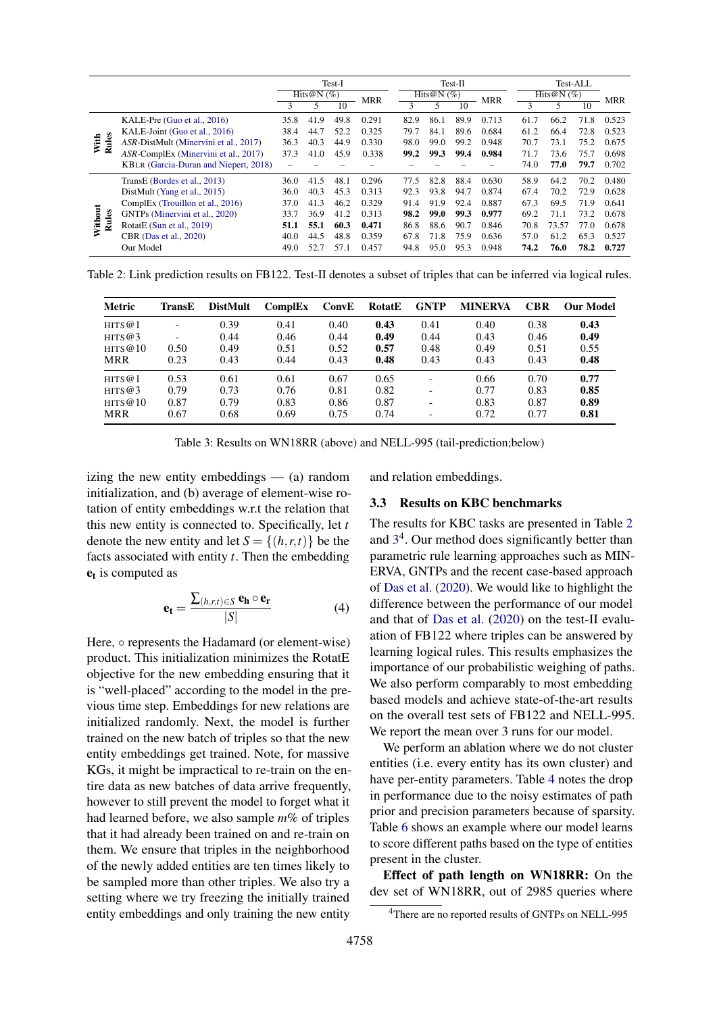<span id="page-6-1"></span>

|                  |                                       | Test-I        |      |            | $Test-II$ |              |      | Test-ALL   |       |               |       |            |       |
|------------------|---------------------------------------|---------------|------|------------|-----------|--------------|------|------------|-------|---------------|-------|------------|-------|
|                  |                                       | Hits@N $(\%)$ |      | <b>MRR</b> |           | Hits@N $(%)$ |      | <b>MRR</b> |       | Hits@N $(\%)$ |       | <b>MRR</b> |       |
|                  |                                       |               | 5    | 10         |           | 3            | 5    | 10         |       | 3             |       | 10         |       |
|                  | KALE-Pre (Guo et al., 2016)           | 35.8          | 41.9 | 49.8       | 0.291     | 82.9         | 86.1 | 89.9       | 0.713 | 61.7          | 66.2  | 71.8       | 0.523 |
|                  | KALE-Joint (Guo et al., 2016)         | 38.4          | 44.7 | 52.2       | 0.325     | 79.7         | 84.1 | 89.6       | 0.684 | 61.2          | 66.4  | 72.8       | 0.523 |
| With<br>Rules    | ASR-DistMult (Minervini et al., 2017) | 36.3          | 40.3 | 44.9       | 0.330     | 98.0         | 99.0 | 99.2       | 0.948 | 70.7          | 73.1  | 75.2       | 0.675 |
|                  | ASR-ComplEx (Minervini et al., 2017)  | 37.3          | 41.0 | 45.9       | 0.338     | 99.2         | 99.3 | 99.4       | 0.984 | 71.7          | 73.6  | 75.7       | 0.698 |
|                  | KBLR (Garcia-Duran and Niepert, 2018) |               |      |            |           |              |      |            |       | 74.0          | 77.0  | 79.7       | 0.702 |
|                  | TransE (Bordes et al., 2013)          | 36.0          | 41.5 | 48.1       | 0.296     | 77.5         | 82.8 | 88.4       | 0.630 | 58.9          | 64.2  | 70.2       | 0.480 |
|                  | DistMult (Yang et al., 2015)          | 36.0          | 40.3 | 45.3       | 0.313     | 92.3         | 93.8 | 94.7       | 0.874 | 67.4          | 70.2  | 72.9       | 0.628 |
|                  | ComplEx (Trouillon et al., 2016)      | 37.0          | 41.3 | 46.2       | 0.329     | 91.4         | 91.9 | 92.4       | 0.887 | 67.3          | 69.5  | 71.9       | 0.641 |
| Without<br>Rules | GNTPs (Minervini et al., 2020)        | 33.7          | 36.9 | 41.2       | 0.313     | 98.2         | 99.0 | 99.3       | 0.977 | 69.2          | 71.1  | 73.2       | 0.678 |
|                  | RotatE (Sun et al., 2019)             | 51.1          | 55.1 | 60.3       | 0.471     | 86.8         | 88.6 | 90.7       | 0.846 | 70.8          | 73.57 | 77.0       | 0.678 |
|                  | CBR (Das et al., 2020)                | 40.0          | 44.5 | 48.8       | 0.359     | 67.8         | 71.8 | 75.9       | 0.636 | 57.0          | 61.2  | 65.3       | 0.527 |
|                  | Our Model                             | 49.0          | 52.7 | 57.1       | 0.457     | 94.8         | 95.0 | 95.3       | 0.948 | 74.2          | 76.0  | 78.2       | 0.727 |

<span id="page-6-2"></span>Table 2: Link prediction results on FB122. Test-II denotes a subset of triples that can be inferred via logical rules.

| Metric     | TransE                   | <b>DistMult</b> | ComplEx | ConvE | RotatE | <b>GNTP</b>              | <b>MINERVA</b> | <b>CBR</b> | <b>Our Model</b> |
|------------|--------------------------|-----------------|---------|-------|--------|--------------------------|----------------|------------|------------------|
| HITS@1     | $\overline{\phantom{a}}$ | 0.39            | 0.41    | 0.40  | 0.43   | 0.41                     | 0.40           | 0.38       | 0.43             |
| HITS@3     | $\overline{\phantom{0}}$ | 0.44            | 0.46    | 0.44  | 0.49   | 0.44                     | 0.43           | 0.46       | 0.49             |
| HITS@10    | 0.50                     | 0.49            | 0.51    | 0.52  | 0.57   | 0.48                     | 0.49           | 0.51       | 0.55             |
| MRR        | 0.23                     | 0.43            | 0.44    | 0.43  | 0.48   | 0.43                     | 0.43           | 0.43       | 0.48             |
| HITS@1     | 0.53                     | 0.61            | 0.61    | 0.67  | 0.65   | $\overline{\phantom{0}}$ | 0.66           | 0.70       | 0.77             |
| HITS@3     | 0.79                     | 0.73            | 0.76    | 0.81  | 0.82   | $\overline{\phantom{0}}$ | 0.77           | 0.83       | 0.85             |
| HITS@10    | 0.87                     | 0.79            | 0.83    | 0.86  | 0.87   | $\overline{\phantom{0}}$ | 0.83           | 0.87       | 0.89             |
| <b>MRR</b> | 0.67                     | 0.68            | 0.69    | 0.75  | 0.74   | $\overline{\phantom{0}}$ | 0.72           | 0.77       | 0.81             |

Table 3: Results on WN18RR (above) and NELL-995 (tail-prediction;below)

izing the new entity embeddings — (a) random initialization, and (b) average of element-wise rotation of entity embeddings w.r.t the relation that this new entity is connected to. Specifically, let *t* denote the new entity and let  $S = \{(h, r, t)\}\)$  be the facts associated with entity *t*. Then the embedding  $e_t$  is computed as

$$
\mathbf{e}_{t} = \frac{\sum_{(h,r,t)\in S} \mathbf{e}_{h} \circ \mathbf{e}_{r}}{|S|}
$$
(4)

Here,  $\circ$  represents the Hadamard (or element-wise) product. This initialization minimizes the RotatE objective for the new embedding ensuring that it is "well-placed" according to the model in the previous time step. Embeddings for new relations are initialized randomly. Next, the model is further trained on the new batch of triples so that the new entity embeddings get trained. Note, for massive KGs, it might be impractical to re-train on the entire data as new batches of data arrive frequently, however to still prevent the model to forget what it had learned before, we also sample *m*% of triples that it had already been trained on and re-train on them. We ensure that triples in the neighborhood of the newly added entities are ten times likely to be sampled more than other triples. We also try a setting where we try freezing the initially trained entity embeddings and only training the new entity

and relation embeddings.

#### <span id="page-6-0"></span>3.3 Results on KBC benchmarks

The results for KBC tasks are presented in Table [2](#page-6-1) and [3](#page-6-2) 4 . Our method does significantly better than parametric rule learning approaches such as MIN-ERVA, GNTPs and the recent case-based approach of [Das et al.](#page-9-8) [\(2020\)](#page-9-8). We would like to highlight the difference between the performance of our model and that of [Das et al.](#page-9-8) [\(2020\)](#page-9-8) on the test-II evaluation of FB122 where triples can be answered by learning logical rules. This results emphasizes the importance of our probabilistic weighing of paths. We also perform comparably to most embedding based models and achieve state-of-the-art results on the overall test sets of FB122 and NELL-995. We report the mean over 3 runs for our model.

We perform an ablation where we do not cluster entities (i.e. every entity has its own cluster) and have per-entity parameters. Table [4](#page-7-1) notes the drop in performance due to the noisy estimates of path prior and precision parameters because of sparsity. Table [6](#page-8-0) shows an example where our model learns to score different paths based on the type of entities present in the cluster.

Effect of path length on WN18RR: On the dev set of WN18RR, out of 2985 queries where

<sup>4</sup>There are no reported results of GNTPs on NELL-995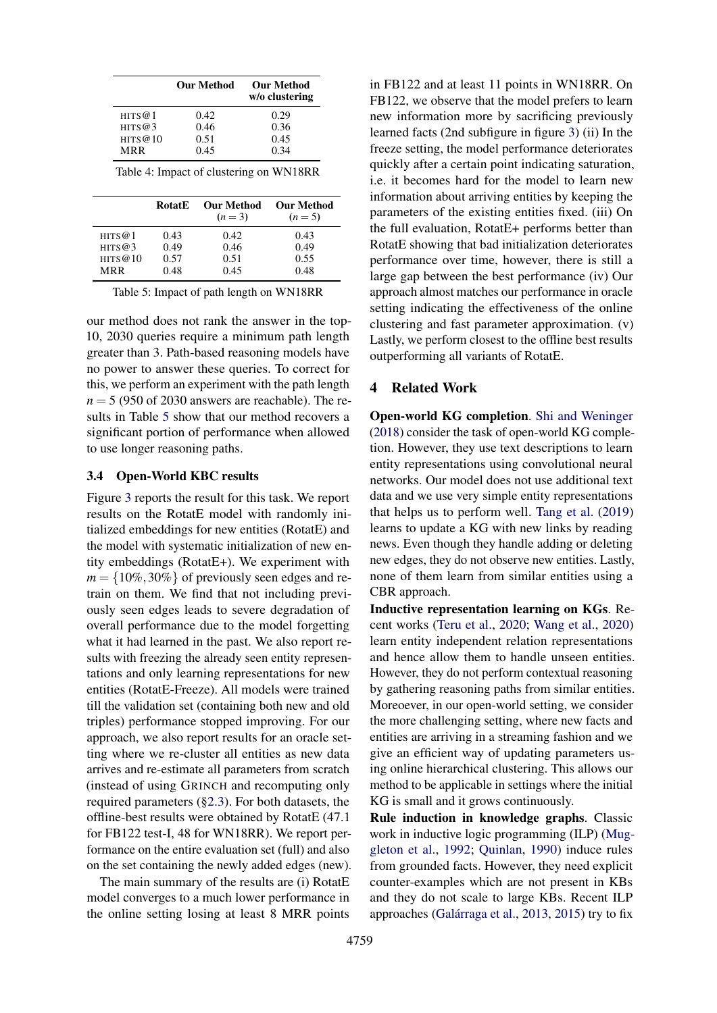<span id="page-7-1"></span>

|            |               | Our Method            | <b>Our Method</b><br>w/o clustering     |         |
|------------|---------------|-----------------------|-----------------------------------------|---------|
| HITS@1     |               | 0.42                  | 0.29                                    |         |
| HITS $@3$  |               | 0.46                  | 0.36                                    |         |
| HITS@10    |               | 0.51                  | 0.45                                    |         |
| <b>MRR</b> |               | 0.45                  | 0.34                                    |         |
|            |               |                       | Table 4: Impact of clustering on WN18RR |         |
|            | <b>RotatE</b> | Our Method<br>$(n=3)$ | Our Method                              | $(n=5)$ |
| HITS@1     | 0.43          | 0.42                  |                                         | 0.43    |
| HITS@3     | 0.49          | 0.46                  |                                         | 0.49    |

<span id="page-7-2"></span>HITS@3 0.49 0.46 0.49<br>HITS@10 0.57 0.51 0.55 HITS@10 0.57 0.51 0.55<br>MRR 0.48 0.45 0.48 MRR 0.48 0.45 0.48

our method does not rank the answer in the top-10, 2030 queries require a minimum path length greater than 3. Path-based reasoning models have no power to answer these queries. To correct for this, we perform an experiment with the path length  $n = 5$  (950 of 2030 answers are reachable). The results in Table [5](#page-7-2) show that our method recovers a significant portion of performance when allowed to use longer reasoning paths.

#### <span id="page-7-0"></span>3.4 Open-World KBC results

Figure [3](#page-8-1) reports the result for this task. We report results on the RotatE model with randomly initialized embeddings for new entities (RotatE) and the model with systematic initialization of new entity embeddings (RotatE+). We experiment with  $m = \{10\%, 30\% \}$  of previously seen edges and retrain on them. We find that not including previously seen edges leads to severe degradation of overall performance due to the model forgetting what it had learned in the past. We also report results with freezing the already seen entity representations and only learning representations for new entities (RotatE-Freeze). All models were trained till the validation set (containing both new and old triples) performance stopped improving. For our approach, we also report results for an oracle setting where we re-cluster all entities as new data arrives and re-estimate all parameters from scratch (instead of using GRINCH and recomputing only required parameters ([§2.3\)](#page-4-0). For both datasets, the offline-best results were obtained by RotatE (47.1 for FB122 test-I, 48 for WN18RR). We report performance on the entire evaluation set (full) and also on the set containing the newly added edges (new).

The main summary of the results are (i) RotatE model converges to a much lower performance in the online setting losing at least 8 MRR points

in FB122 and at least 11 points in WN18RR. On FB122, we observe that the model prefers to learn new information more by sacrificing previously learned facts (2nd subfigure in figure [3\)](#page-8-1) (ii) In the freeze setting, the model performance deteriorates quickly after a certain point indicating saturation, i.e. it becomes hard for the model to learn new information about arriving entities by keeping the parameters of the existing entities fixed. (iii) On the full evaluation, RotatE+ performs better than RotatE showing that bad initialization deteriorates performance over time, however, there is still a large gap between the best performance (iv) Our approach almost matches our performance in oracle setting indicating the effectiveness of the online clustering and fast parameter approximation. (v) Lastly, we perform closest to the offline best results outperforming all variants of RotatE.

## 4 Related Work

Open-world KG completion. [Shi and Weninger](#page-10-11) [\(2018\)](#page-10-11) consider the task of open-world KG completion. However, they use text descriptions to learn entity representations using convolutional neural networks. Our model does not use additional text data and we use very simple entity representations that helps us to perform well. [Tang et al.](#page-10-12) [\(2019\)](#page-10-12) learns to update a KG with new links by reading news. Even though they handle adding or deleting new edges, they do not observe new entities. Lastly, none of them learn from similar entities using a CBR approach.

Inductive representation learning on KGs. Recent works [\(Teru et al.,](#page-10-13) [2020;](#page-10-13) [Wang et al.,](#page-10-14) [2020\)](#page-10-14) learn entity independent relation representations and hence allow them to handle unseen entities. However, they do not perform contextual reasoning by gathering reasoning paths from similar entities. Moreoever, in our open-world setting, we consider the more challenging setting, where new facts and entities are arriving in a streaming fashion and we give an efficient way of updating parameters using online hierarchical clustering. This allows our method to be applicable in settings where the initial KG is small and it grows continuously.

Rule induction in knowledge graphs. Classic work in inductive logic programming (ILP) [\(Mug](#page-9-16)[gleton et al.,](#page-9-16) [1992;](#page-9-16) [Quinlan,](#page-9-17) [1990\)](#page-9-17) induce rules from grounded facts. However, they need explicit counter-examples which are not present in KBs and they do not scale to large KBs. Recent ILP approaches (Galárraga et al., [2013,](#page-9-18) [2015\)](#page-9-19) try to fix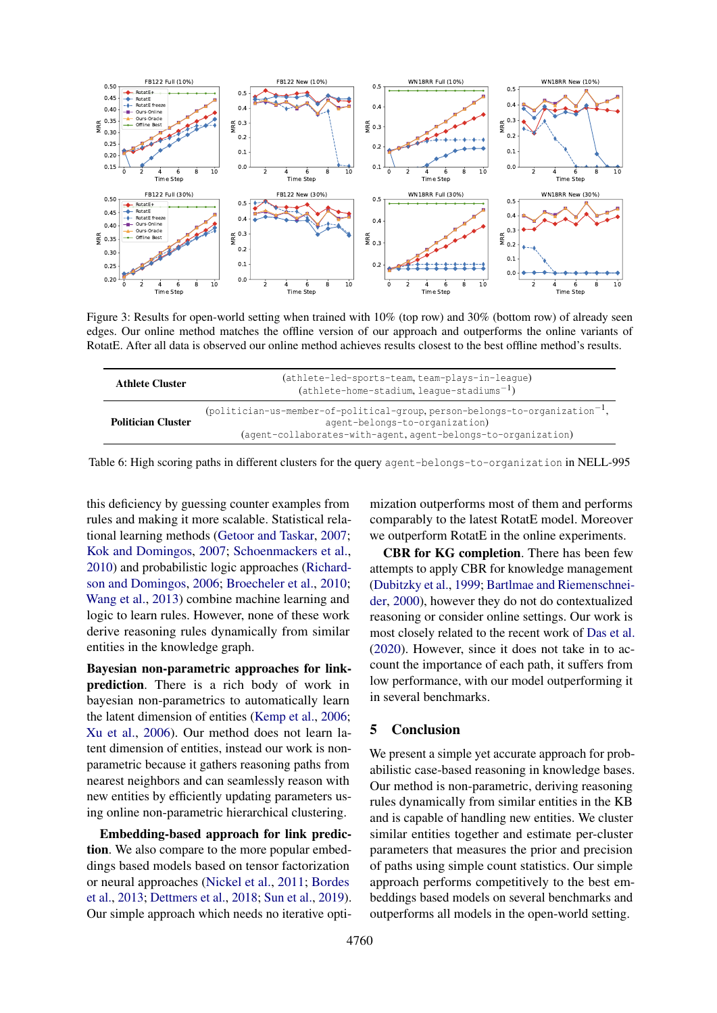<span id="page-8-1"></span>

Figure 3: Results for open-world setting when trained with 10% (top row) and 30% (bottom row) of already seen edges. Our online method matches the offline version of our approach and outperforms the online variants of RotatE. After all data is observed our online method achieves results closest to the best offline method's results.

<span id="page-8-0"></span>

| <b>Athlete Cluster</b>    | (athlete-led-sports-team, team-plays-in-league)<br>$(athlete-home-stadium, league-stadium-1)$                                                                                                |
|---------------------------|----------------------------------------------------------------------------------------------------------------------------------------------------------------------------------------------|
| <b>Politician Cluster</b> | (politician-us-member-of-political-group, person-belongs-to-organization <sup>-1</sup> ,<br>agent-belongs-to-organization)<br>(agent-collaborates-with-agent, agent-belongs-to-organization) |

Table 6: High scoring paths in different clusters for the query agent-belongs-to-organization in NELL-995

this deficiency by guessing counter examples from rules and making it more scalable. Statistical relational learning methods [\(Getoor and Taskar,](#page-9-20) [2007;](#page-9-20) [Kok and Domingos,](#page-9-21) [2007;](#page-9-21) [Schoenmackers et al.,](#page-10-15) [2010\)](#page-10-15) and probabilistic logic approaches [\(Richard](#page-10-16)[son and Domingos,](#page-10-16) [2006;](#page-10-16) [Broecheler et al.,](#page-9-22) [2010;](#page-9-22) [Wang et al.,](#page-10-17) [2013\)](#page-10-17) combine machine learning and logic to learn rules. However, none of these work derive reasoning rules dynamically from similar entities in the knowledge graph.

Bayesian non-parametric approaches for linkprediction. There is a rich body of work in bayesian non-parametrics to automatically learn the latent dimension of entities [\(Kemp et al.,](#page-9-23) [2006;](#page-9-23) [Xu et al.,](#page-10-18) [2006\)](#page-10-18). Our method does not learn latent dimension of entities, instead our work is nonparametric because it gathers reasoning paths from nearest neighbors and can seamlessly reason with new entities by efficiently updating parameters using online non-parametric hierarchical clustering.

Embedding-based approach for link prediction. We also compare to the more popular embeddings based models based on tensor factorization or neural approaches [\(Nickel et al.,](#page-9-1) [2011;](#page-9-1) [Bordes](#page-9-2) [et al.,](#page-9-2) [2013;](#page-9-2) [Dettmers et al.,](#page-9-6) [2018;](#page-9-6) [Sun et al.,](#page-10-2) [2019\)](#page-10-2). Our simple approach which needs no iterative opti-

mization outperforms most of them and performs comparably to the latest RotatE model. Moreover we outperform RotatE in the online experiments.

CBR for KG completion. There has been few attempts to apply CBR for knowledge management [\(Dubitzky et al.,](#page-9-24) [1999;](#page-9-24) [Bartlmae and Riemenschnei](#page-9-25)[der,](#page-9-25) [2000\)](#page-9-25), however they do not do contextualized reasoning or consider online settings. Our work is most closely related to the recent work of [Das et al.](#page-9-8) [\(2020\)](#page-9-8). However, since it does not take in to account the importance of each path, it suffers from low performance, with our model outperforming it in several benchmarks.

## 5 Conclusion

We present a simple yet accurate approach for probabilistic case-based reasoning in knowledge bases. Our method is non-parametric, deriving reasoning rules dynamically from similar entities in the KB and is capable of handling new entities. We cluster similar entities together and estimate per-cluster parameters that measures the prior and precision of paths using simple count statistics. Our simple approach performs competitively to the best embeddings based models on several benchmarks and outperforms all models in the open-world setting.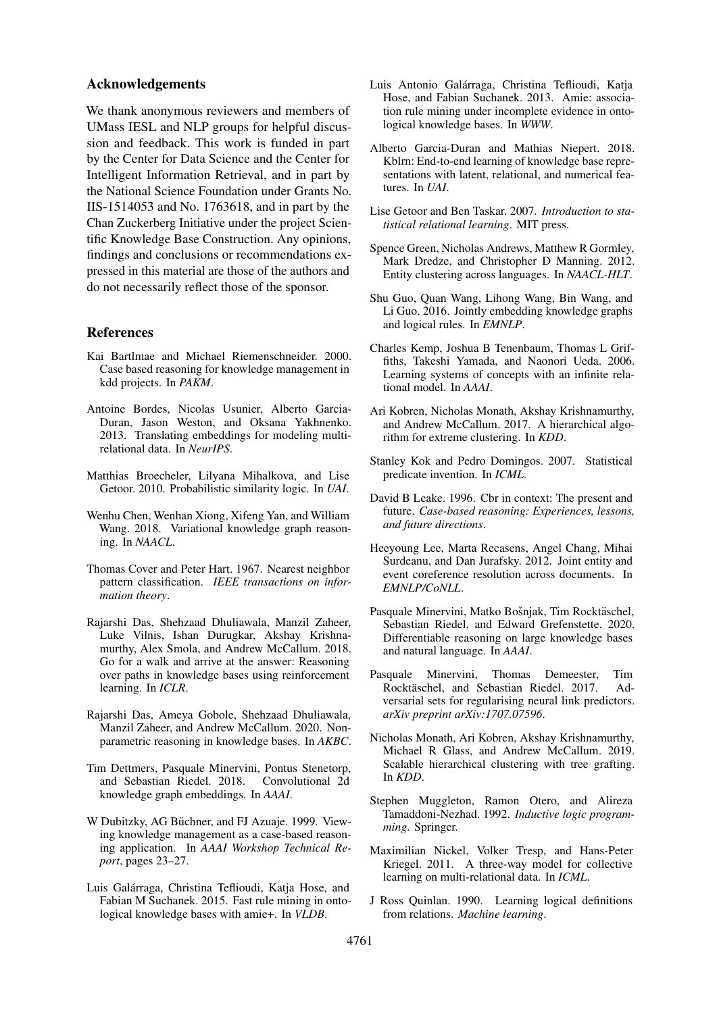#### Acknowledgements

We thank anonymous reviewers and members of UMass IESL and NLP groups for helpful discussion and feedback. This work is funded in part by the Center for Data Science and the Center for Intelligent Information Retrieval, and in part by the National Science Foundation under Grants No. IIS-1514053 and No. 1763618, and in part by the Chan Zuckerberg Initiative under the project Scientific Knowledge Base Construction. Any opinions, findings and conclusions or recommendations expressed in this material are those of the authors and do not necessarily reflect those of the sponsor.

### References

- <span id="page-9-25"></span>Kai Bartlmae and Michael Riemenschneider. 2000. Case based reasoning for knowledge management in kdd projects. In *PAKM*.
- <span id="page-9-2"></span>Antoine Bordes, Nicolas Usunier, Alberto Garcia-Duran, Jason Weston, and Oksana Yakhnenko. 2013. Translating embeddings for modeling multirelational data. In *NeurIPS*.
- <span id="page-9-22"></span>Matthias Broecheler, Lilyana Mihalkova, and Lise Getoor. 2010. Probabilistic similarity logic. In *UAI*.
- <span id="page-9-12"></span>Wenhu Chen, Wenhan Xiong, Xifeng Yan, and William Wang. 2018. Variational knowledge graph reasoning. In *NAACL*.
- <span id="page-9-0"></span>Thomas Cover and Peter Hart. 1967. Nearest neighbor pattern classification. *IEEE transactions on information theory*.
- <span id="page-9-3"></span>Rajarshi Das, Shehzaad Dhuliawala, Manzil Zaheer, Luke Vilnis, Ishan Durugkar, Akshay Krishnamurthy, Alex Smola, and Andrew McCallum. 2018. Go for a walk and arrive at the answer: Reasoning over paths in knowledge bases using reinforcement learning. In *ICLR*.
- <span id="page-9-8"></span>Rajarshi Das, Ameya Gobole, Shehzaad Dhuliawala, Manzil Zaheer, and Andrew McCallum. 2020. Nonparametric reasoning in knowledge bases. In *AKBC*.
- <span id="page-9-6"></span>Tim Dettmers, Pasquale Minervini, Pontus Stenetorp, and Sebastian Riedel. 2018. knowledge graph embeddings. In *AAAI*.
- <span id="page-9-24"></span>W Dubitzky, AG Büchner, and FJ Azuaje. 1999. Viewing knowledge management as a case-based reasoning application. In *AAAI Workshop Technical Report*, pages 23–27.
- <span id="page-9-19"></span>Luis Galarraga, Christina Teflioudi, Katja Hose, and ´ Fabian M Suchanek. 2015. Fast rule mining in ontological knowledge bases with amie+. In *VLDB*.
- <span id="page-9-18"></span>Luis Antonio Galárraga, Christina Teflioudi, Katia Hose, and Fabian Suchanek. 2013. Amie: association rule mining under incomplete evidence in ontological knowledge bases. In *WWW*.
- <span id="page-9-15"></span>Alberto Garcia-Duran and Mathias Niepert. 2018. Kblrn: End-to-end learning of knowledge base representations with latent, relational, and numerical features. In *UAI*.
- <span id="page-9-20"></span>Lise Getoor and Ben Taskar. 2007. *Introduction to statistical relational learning*. MIT press.
- <span id="page-9-10"></span>Spence Green, Nicholas Andrews, Matthew R Gormley, Mark Dredze, and Christopher D Manning. 2012. Entity clustering across languages. In *NAACL-HLT*.
- <span id="page-9-13"></span>Shu Guo, Quan Wang, Lihong Wang, Bin Wang, and Li Guo. 2016. Jointly embedding knowledge graphs and logical rules. In *EMNLP*.
- <span id="page-9-23"></span>Charles Kemp, Joshua B Tenenbaum, Thomas L Griffiths, Takeshi Yamada, and Naonori Ueda. 2006. Learning systems of concepts with an infinite relational model. In *AAAI*.
- <span id="page-9-11"></span>Ari Kobren, Nicholas Monath, Akshay Krishnamurthy, and Andrew McCallum. 2017. A hierarchical algorithm for extreme clustering. In *KDD*.
- <span id="page-9-21"></span>Stanley Kok and Pedro Domingos. 2007. Statistical predicate invention. In *ICML*.
- <span id="page-9-5"></span>David B Leake. 1996. Cbr in context: The present and future. *Case-based reasoning: Experiences, lessons, and future directions*.
- <span id="page-9-9"></span>Heeyoung Lee, Marta Recasens, Angel Chang, Mihai Surdeanu, and Dan Jurafsky. 2012. Joint entity and event coreference resolution across documents. In *EMNLP/CoNLL*.
- <span id="page-9-4"></span>Pasquale Minervini, Matko Bošnjak, Tim Rocktäschel, Sebastian Riedel, and Edward Grefenstette. 2020. Differentiable reasoning on large knowledge bases and natural language. In *AAAI*.
- <span id="page-9-14"></span>Pasquale Minervini, Thomas Demeester, Tim Rocktäschel, and Sebastian Riedel. 2017. Adversarial sets for regularising neural link predictors. *arXiv preprint arXiv:1707.07596*.
- <span id="page-9-7"></span>Nicholas Monath, Ari Kobren, Akshay Krishnamurthy, Michael R Glass, and Andrew McCallum. 2019. Scalable hierarchical clustering with tree grafting. In *KDD*.
- <span id="page-9-16"></span>Stephen Muggleton, Ramon Otero, and Alireza Tamaddoni-Nezhad. 1992. *Inductive logic programming*. Springer.
- <span id="page-9-1"></span>Maximilian Nickel, Volker Tresp, and Hans-Peter Kriegel. 2011. A three-way model for collective learning on multi-relational data. In *ICML*.
- <span id="page-9-17"></span>J Ross Quinlan. 1990. Learning logical definitions from relations. *Machine learning*.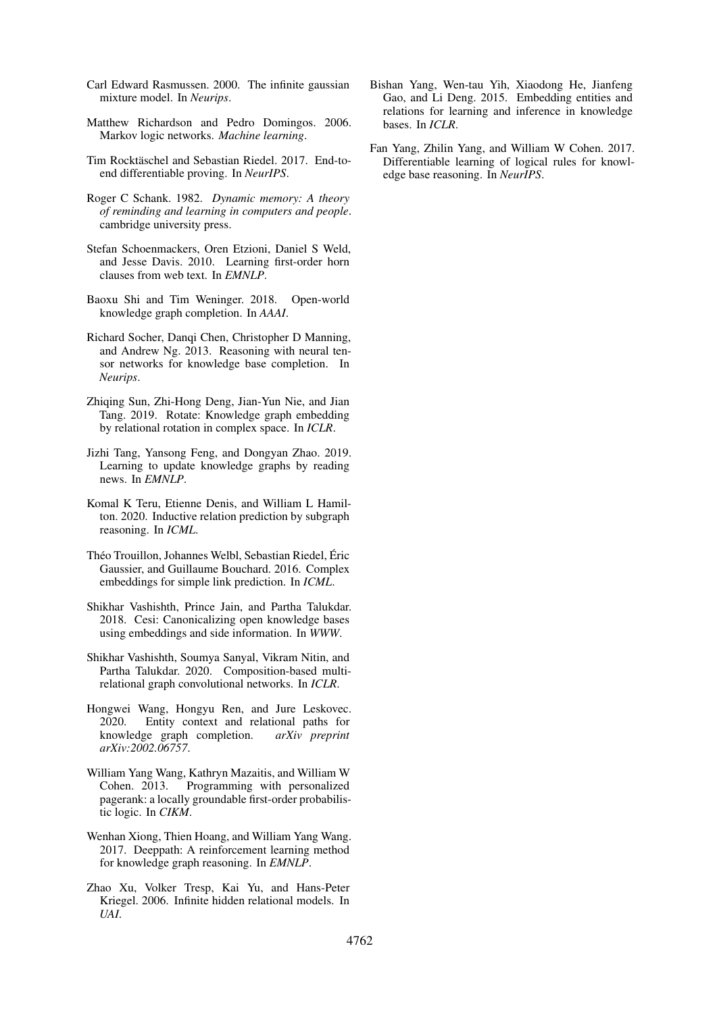- <span id="page-10-0"></span>Carl Edward Rasmussen. 2000. The infinite gaussian mixture model. In *Neurips*.
- <span id="page-10-16"></span>Matthew Richardson and Pedro Domingos. 2006. Markov logic networks. *Machine learning*.
- <span id="page-10-4"></span>Tim Rocktäschel and Sebastian Riedel. 2017. End-toend differentiable proving. In *NeurIPS*.
- <span id="page-10-5"></span>Roger C Schank. 1982. *Dynamic memory: A theory of reminding and learning in computers and people*. cambridge university press.
- <span id="page-10-15"></span>Stefan Schoenmackers, Oren Etzioni, Daniel S Weld, and Jesse Davis. 2010. Learning first-order horn clauses from web text. In *EMNLP*.
- <span id="page-10-11"></span>Baoxu Shi and Tim Weninger. 2018. Open-world knowledge graph completion. In *AAAI*.
- <span id="page-10-1"></span>Richard Socher, Danqi Chen, Christopher D Manning, and Andrew Ng. 2013. Reasoning with neural tensor networks for knowledge base completion. In *Neurips*.
- <span id="page-10-2"></span>Zhiqing Sun, Zhi-Hong Deng, Jian-Yun Nie, and Jian Tang. 2019. Rotate: Knowledge graph embedding by relational rotation in complex space. In *ICLR*.
- <span id="page-10-12"></span>Jizhi Tang, Yansong Feng, and Dongyan Zhao. 2019. Learning to update knowledge graphs by reading news. In *EMNLP*.
- <span id="page-10-13"></span>Komal K Teru, Etienne Denis, and William L Hamilton. 2020. Inductive relation prediction by subgraph reasoning. In *ICML*.
- <span id="page-10-9"></span>Théo Trouillon, Johannes Welbl, Sebastian Riedel, Éric Gaussier, and Guillaume Bouchard. 2016. Complex embeddings for simple link prediction. In *ICML*.
- <span id="page-10-6"></span>Shikhar Vashishth, Prince Jain, and Partha Talukdar. 2018. Cesi: Canonicalizing open knowledge bases using embeddings and side information. In *WWW*.
- <span id="page-10-3"></span>Shikhar Vashishth, Soumya Sanyal, Vikram Nitin, and Partha Talukdar. 2020. Composition-based multirelational graph convolutional networks. In *ICLR*.
- <span id="page-10-14"></span>Hongwei Wang, Hongyu Ren, and Jure Leskovec. 2020. Entity context and relational paths for knowledge graph completion. *arXiv preprint arXiv:2002.06757*.
- <span id="page-10-17"></span>William Yang Wang, Kathryn Mazaitis, and William W Cohen. 2013. Programming with personalized pagerank: a locally groundable first-order probabilistic logic. In *CIKM*.
- <span id="page-10-7"></span>Wenhan Xiong, Thien Hoang, and William Yang Wang. 2017. Deeppath: A reinforcement learning method for knowledge graph reasoning. In *EMNLP*.
- <span id="page-10-18"></span>Zhao Xu, Volker Tresp, Kai Yu, and Hans-Peter Kriegel. 2006. Infinite hidden relational models. In *UAI*.
- <span id="page-10-8"></span>Bishan Yang, Wen-tau Yih, Xiaodong He, Jianfeng Gao, and Li Deng. 2015. Embedding entities and relations for learning and inference in knowledge bases. In *ICLR*.
- <span id="page-10-10"></span>Fan Yang, Zhilin Yang, and William W Cohen. 2017. Differentiable learning of logical rules for knowledge base reasoning. In *NeurIPS*.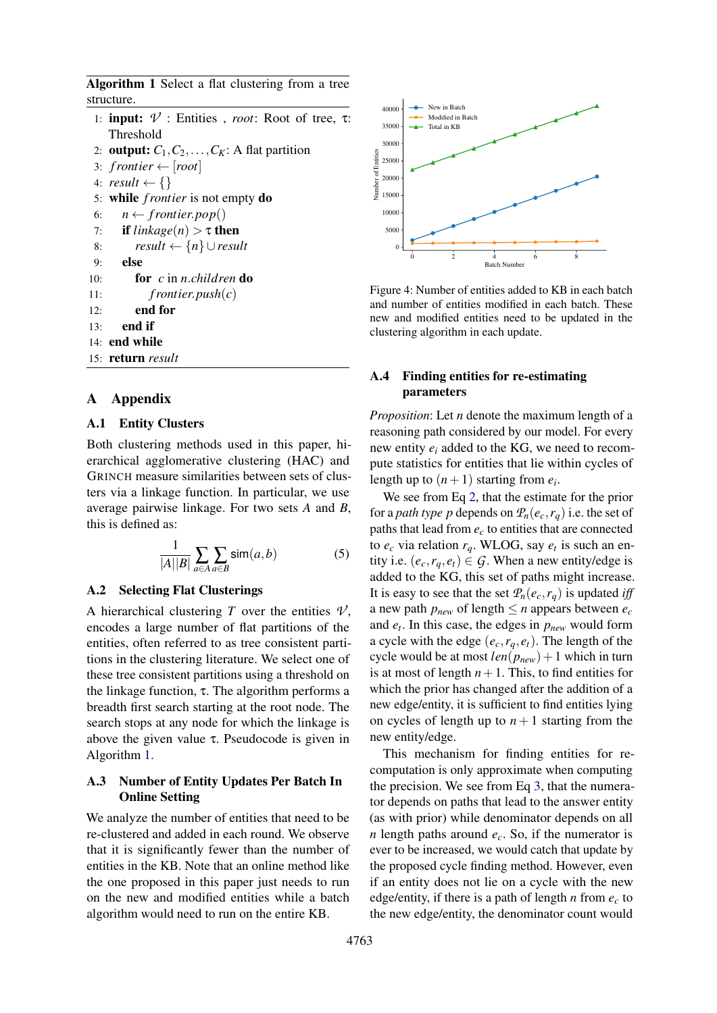<span id="page-11-2"></span>Algorithm 1 Select a flat clustering from a tree structure.

- 1: input: *V* : Entities , *root*: Root of tree, τ: Threshold
- 2: **output:**  $C_1, C_2, \ldots, C_K$ : A flat partition
- 3:  $frontier \leftarrow [root]$
- 4:  $result \leftarrow \{\}$
- 5: while *f rontier* is not empty do
- 6:  $n \leftarrow frontier.pop()$
- 7: **if**  $linkage(n) > \tau$  then
- 8: *result* ← {*n*} ∪*result*
- 9: else
- 10: for *c* in *n*.*children* do
- 11: *f rontier*.*push*(*c*)
- 12: end for
- $13:$  end if
- 14: end while

```
15: return result
```
## A Appendix

## A.1 Entity Clusters

Both clustering methods used in this paper, hierarchical agglomerative clustering (HAC) and GRINCH measure similarities between sets of clusters via a linkage function. In particular, we use average pairwise linkage. For two sets *A* and *B*, this is defined as:

$$
\frac{1}{|A||B|} \sum_{a \in A} \sum_{a \in B} \text{sim}(a, b) \tag{5}
$$

## <span id="page-11-0"></span>A.2 Selecting Flat Clusterings

A hierarchical clustering *T* over the entities  $V$ , encodes a large number of flat partitions of the entities, often referred to as tree consistent partitions in the clustering literature. We select one of these tree consistent partitions using a threshold on the linkage function,  $τ$ . The algorithm performs a breadth first search starting at the root node. The search stops at any node for which the linkage is above the given value  $\tau$ . Pseudocode is given in Algorithm [1.](#page-11-2)

### A.3 Number of Entity Updates Per Batch In Online Setting

We analyze the number of entities that need to be re-clustered and added in each round. We observe that it is significantly fewer than the number of entities in the KB. Note that an online method like the one proposed in this paper just needs to run on the new and modified entities while a batch algorithm would need to run on the entire KB.



Figure 4: Number of entities added to KB in each batch and number of entities modified in each batch. These new and modified entities need to be updated in the clustering algorithm in each update.

## <span id="page-11-1"></span>A.4 Finding entities for re-estimating parameters

*Proposition*: Let *n* denote the maximum length of a reasoning path considered by our model. For every new entity *e<sup>i</sup>* added to the KG, we need to recompute statistics for entities that lie within cycles of length up to  $(n+1)$  starting from  $e_i$ .

We see from Eq [2,](#page-3-2) that the estimate for the prior for a *path type p* depends on  $\mathcal{P}_n(e_c, r_q)$  i.e. the set of paths that lead from *e<sup>c</sup>* to entities that are connected to  $e_c$  via relation  $r_q$ . WLOG, say  $e_t$  is such an entity i.e.  $(e_c, r_a, e_t) \in G$ . When a new entity/edge is added to the KG, this set of paths might increase. It is easy to see that the set  $P_n(e_c, r_q)$  is updated *iff* a new path  $p_{new}$  of length  $\leq n$  appears between  $e_c$ and *e<sup>t</sup>* . In this case, the edges in *pnew* would form a cycle with the edge  $(e_c, r_a, e_t)$ . The length of the cycle would be at most  $len(p_{new}) + 1$  which in turn is at most of length  $n+1$ . This, to find entities for which the prior has changed after the addition of a new edge/entity, it is sufficient to find entities lying on cycles of length up to  $n + 1$  starting from the new entity/edge.

This mechanism for finding entities for recomputation is only approximate when computing the precision. We see from Eq [3,](#page-3-3) that the numerator depends on paths that lead to the answer entity (as with prior) while denominator depends on all *n* length paths around *ec*. So, if the numerator is ever to be increased, we would catch that update by the proposed cycle finding method. However, even if an entity does not lie on a cycle with the new edge/entity, if there is a path of length *n* from *e<sup>c</sup>* to the new edge/entity, the denominator count would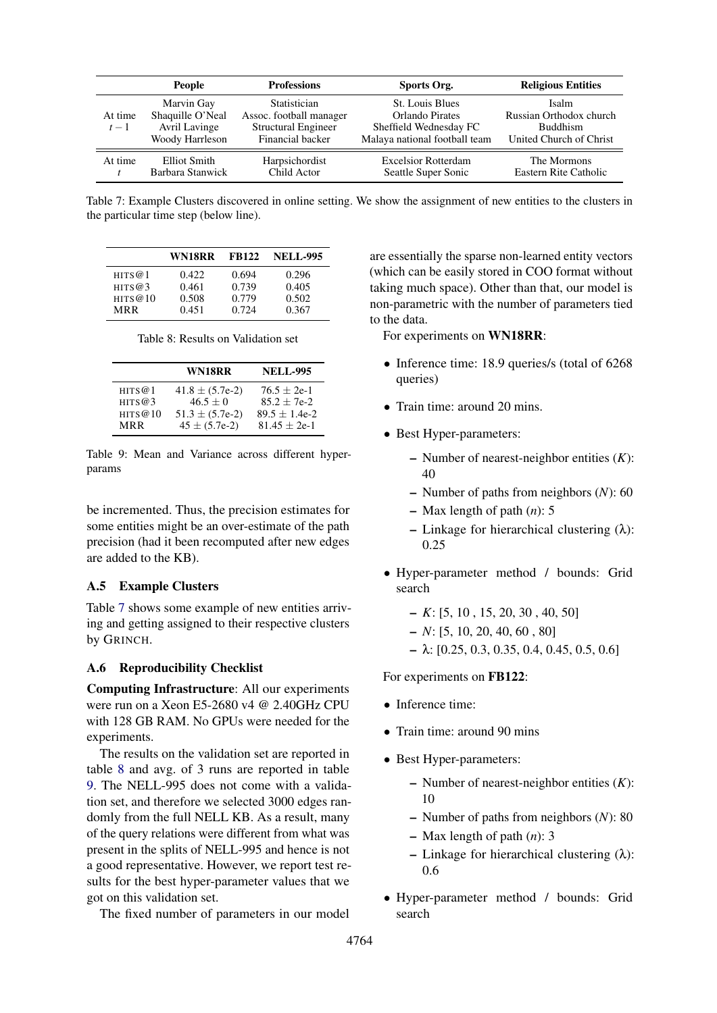<span id="page-12-1"></span>

|                  | <b>People</b>                                                      | <b>Professions</b>                                                                 | Sports Org.                                                                                   | <b>Religious Entities</b>                                                      |
|------------------|--------------------------------------------------------------------|------------------------------------------------------------------------------------|-----------------------------------------------------------------------------------------------|--------------------------------------------------------------------------------|
| At time<br>$t-1$ | Marvin Gay<br>Shaquille O'Neal<br>Avril Lavinge<br>Woody Harrleson | Statistician<br>Assoc. football manager<br>Structural Engineer<br>Financial backer | St. Louis Blues<br>Orlando Pirates<br>Sheffield Wednesday FC<br>Malaya national football team | Isalm<br>Russian Orthodox church<br><b>Buddhism</b><br>United Church of Christ |
| At time          | Elliot Smith<br>Barbara Stanwick                                   | Harpsichordist<br>Child Actor                                                      | <b>Excelsior Rotterdam</b><br>Seattle Super Sonic                                             | The Mormons<br>Eastern Rite Catholic                                           |

Table 7: Example Clusters discovered in online setting. We show the assignment of new entities to the clusters in the particular time step (below line).

<span id="page-12-2"></span>

|           | WN18RR | <b>FB122</b> | <b>NELL-995</b> |
|-----------|--------|--------------|-----------------|
| HITS@1    | 0.422  | 0.694        | 0.296           |
| HITS $@3$ | 0.461  | 0.739        | 0.405           |
| HITS@10   | 0.508  | 0.779        | 0.502           |
| MR R      | 0.451  | 0.724        | 0.367           |

Table 8: Results on Validation set

<span id="page-12-3"></span>

|            | WN18RR              | <b>NELL-995</b>  |
|------------|---------------------|------------------|
| HITS@1     | $41.8 \pm (5.7e-2)$ | $76.5 \pm 2e-1$  |
| HITS $@3$  | $46.5 + 0$          | $85.2 + 7e^{-2}$ |
| HITS@10    | $51.3 \pm (5.7e-2)$ | $89.5 + 1.4e-2$  |
| <b>MRR</b> | $45 \pm (5.7e-2)$   | $81.45 + 2e-1$   |

Table 9: Mean and Variance across different hyperparams

be incremented. Thus, the precision estimates for some entities might be an over-estimate of the path precision (had it been recomputed after new edges are added to the KB).

## A.5 Example Clusters

Table [7](#page-12-1) shows some example of new entities arriving and getting assigned to their respective clusters by GRINCH.

## <span id="page-12-0"></span>A.6 Reproducibility Checklist

Computing Infrastructure: All our experiments were run on a Xeon E5-2680 v4 @ 2.40GHz CPU with 128 GB RAM. No GPUs were needed for the experiments.

The results on the validation set are reported in table [8](#page-12-2) and avg. of 3 runs are reported in table [9.](#page-12-3) The NELL-995 does not come with a validation set, and therefore we selected 3000 edges randomly from the full NELL KB. As a result, many of the query relations were different from what was present in the splits of NELL-995 and hence is not a good representative. However, we report test results for the best hyper-parameter values that we got on this validation set.

The fixed number of parameters in our model

are essentially the sparse non-learned entity vectors (which can be easily stored in COO format without taking much space). Other than that, our model is non-parametric with the number of parameters tied to the data.

For experiments on WN18RR:

- Inference time: 18.9 queries/s (total of 6268) queries)
- Train time: around 20 mins.
- Best Hyper-parameters:
	- Number of nearest-neighbor entities (*K*): 40
	- Number of paths from neighbors (*N*): 60
	- Max length of path (*n*): 5
	- Linkage for hierarchical clustering (λ): 0.25
- Hyper-parameter method / bounds: Grid search
	- *K*: [5, 10 , 15, 20, 30 , 40, 50]
	- *N*: [5, 10, 20, 40, 60 , 80]
	- $\lambda$ : [0.25, 0.3, 0.35, 0.4, 0.45, 0.5, 0.6]

For experiments on FB122:

- Inference time:
- Train time: around 90 mins
- Best Hyper-parameters:
	- Number of nearest-neighbor entities (*K*): 10
	- Number of paths from neighbors (*N*): 80
	- Max length of path (*n*): 3
	- Linkage for hierarchical clustering (λ): 0.6
- Hyper-parameter method / bounds: Grid search